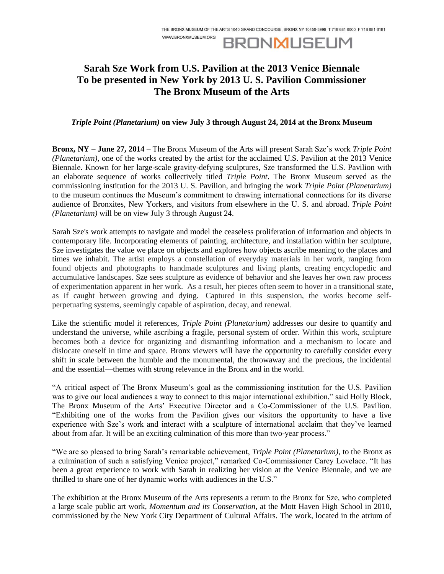WWW.BRONXMUSEUM.ORG

# **BRONMUSEUM**

## **Sarah Sze Work from U.S. Pavilion at the 2013 Venice Biennale To be presented in New York by 2013 U. S. Pavilion Commissioner The Bronx Museum of the Arts**

### *Triple Point (Planetarium)* **on view July 3 through August 24, 2014 at the Bronx Museum**

**Bronx, NY – June 27, 2014** – The Bronx Museum of the Arts will present Sarah Sze's work *Triple Point (Planetarium)*, one of the works created by the artist for the acclaimed U.S. Pavilion at the 2013 Venice Biennale. Known for her large-scale gravity-defying sculptures, Sze transformed the U.S. Pavilion with an elaborate sequence of works collectively titled *Triple Point*. The Bronx Museum served as the commissioning institution for the 2013 U. S. Pavilion, and bringing the work *Triple Point (Planetarium)* to the museum continues the Museum's commitment to drawing international connections for its diverse audience of Bronxites, New Yorkers, and visitors from elsewhere in the U. S. and abroad. *Triple Point (Planetarium)* will be on view July 3 through August 24.

Sarah Sze's work attempts to navigate and model the ceaseless proliferation of information and objects in contemporary life. Incorporating elements of painting, architecture, and installation within her sculpture, Sze investigates the value we place on objects and explores how objects ascribe meaning to the places and times we inhabit. The artist employs a constellation of everyday materials in her work, ranging from found objects and photographs to handmade sculptures and living plants, creating encyclopedic and accumulative landscapes. Sze sees sculpture as evidence of behavior and she leaves her own raw process of experimentation apparent in her work. As a result, her pieces often seem to hover in a transitional state, as if caught between growing and dying. Captured in this suspension, the works become selfperpetuating systems, seemingly capable of aspiration, decay, and renewal.

Like the scientific model it references, *Triple Point (Planetarium)* addresses our desire to quantify and understand the universe, while ascribing a fragile, personal system of order. Within this work, sculpture becomes both a device for organizing and dismantling information and a mechanism to locate and dislocate oneself in time and space. Bronx viewers will have the opportunity to carefully consider every shift in scale between the humble and the monumental, the throwaway and the precious, the incidental and the essential—themes with strong relevance in the Bronx and in the world.

"A critical aspect of The Bronx Museum's goal as the commissioning institution for the U.S. Pavilion was to give our local audiences a way to connect to this major international exhibition," said Holly Block, The Bronx Museum of the Arts' Executive Director and a Co-Commissioner of the U.S. Pavilion. "Exhibiting one of the works from the Pavilion gives our visitors the opportunity to have a live experience with Sze's work and interact with a sculpture of international acclaim that they've learned about from afar. It will be an exciting culmination of this more than two-year process."

"We are so pleased to bring Sarah's remarkable achievement, *Triple Point (Planetarium)*, to the Bronx as a culmination of such a satisfying Venice project," remarked Co-Commissioner Carey Lovelace. "It has been a great experience to work with Sarah in realizing her vision at the Venice Biennale, and we are thrilled to share one of her dynamic works with audiences in the U.S."

The exhibition at the Bronx Museum of the Arts represents a return to the Bronx for Sze, who completed a large scale public art work, *Momentum and its Conservation,* at the Mott Haven High School in 2010, commissioned by the New York City Department of Cultural Affairs. The work, located in the atrium of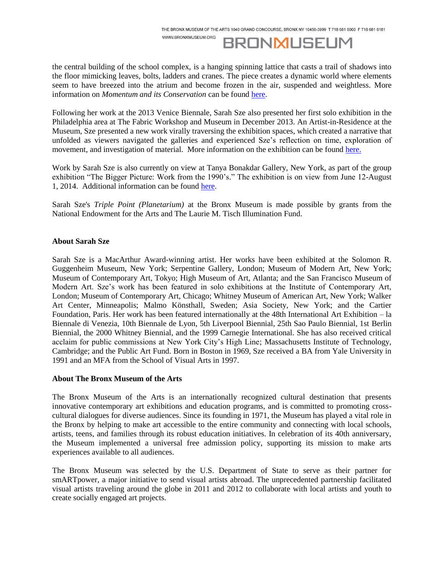WWW.BRONXMUSEUM.ORG



the central building of the school complex, is a hanging spinning lattice that casts a trail of shadows into the floor mimicking leaves, bolts, ladders and cranes. The piece creates a dynamic world where elements seem to have breezed into the atrium and become frozen in the air, suspended and weightless. More information on *Momentum and its Conservation* can be foun[d here.](http://www.nyc.gov/html/dcla/html/panyc/sze.shtml)

Following her work at the 2013 Venice Biennale, Sarah Sze also presented her first solo exhibition in the Philadelphia area at The Fabric Workshop and Museum in December 2013. An Artist-in-Residence at the Museum, Sze presented a new work virally traversing the exhibition spaces, which created a narrative that unfolded as viewers navigated the galleries and experienced Sze's reflection on time, exploration of movement, and investigation of material. More information on the exhibition can be found [here.](http://www.fabricworkshopandmuseum.org/Exhibitions/ExhibitionDetail.aspx?ExhibitionId=d2140138-6a90-4af4-8d60-a16eb5e026fb)

Work by Sarah Sze is also currently on view at Tanya Bonakdar Gallery, New York, as part of the group exhibition "The Bigger Picture: Work from the 1990's." The exhibition is on view from June 12-August 1, 2014. Additional information can be found [here.](http://www.tanyabonakdargallery.com/)

Sarah Sze's *Triple Point (Planetarium)* at the Bronx Museum is made possible by grants from the National Endowment for the Arts and The Laurie M. Tisch Illumination Fund.

### **About Sarah Sze**

Sarah Sze is a MacArthur Award-winning artist. Her works have been exhibited at the Solomon R. Guggenheim Museum, New York; Serpentine Gallery, London; Museum of Modern Art, New York; Museum of Contemporary Art, Tokyo; High Museum of Art, Atlanta; and the San Francisco Museum of Modern Art. Sze's work has been featured in solo exhibitions at the Institute of Contemporary Art, London; Museum of Contemporary Art, Chicago; Whitney Museum of American Art, New York; Walker Art Center, Minneapolis; Malmo Könsthall, Sweden; Asia Society, New York; and the Cartier Foundation, Paris. Her work has been featured internationally at the 48th International Art Exhibition – la Biennale di Venezia, 10th Biennale de Lyon, 5th Liverpool Biennial, 25th Sao Paulo Biennial, 1st Berlin Biennial, the 2000 Whitney Biennial, and the 1999 Carnegie International. She has also received critical acclaim for public commissions at New York City's High Line; Massachusetts Institute of Technology, Cambridge; and the Public Art Fund. Born in Boston in 1969, Sze received a BA from Yale University in 1991 and an MFA from the School of Visual Arts in 1997.

#### **About The Bronx Museum of the Arts**

The Bronx Museum of the Arts is an internationally recognized cultural destination that presents innovative contemporary art exhibitions and education programs, and is committed to promoting crosscultural dialogues for diverse audiences. Since its founding in 1971, the Museum has played a vital role in the Bronx by helping to make art accessible to the entire community and connecting with local schools, artists, teens, and families through its robust education initiatives. In celebration of its 40th anniversary, the Museum implemented a universal free admission policy, supporting its mission to make arts experiences available to all audiences.

The Bronx Museum was selected by the U.S. Department of State to serve as their partner for smARTpower, a major initiative to send visual artists abroad. The unprecedented partnership facilitated visual artists traveling around the globe in 2011 and 2012 to collaborate with local artists and youth to create socially engaged art projects.